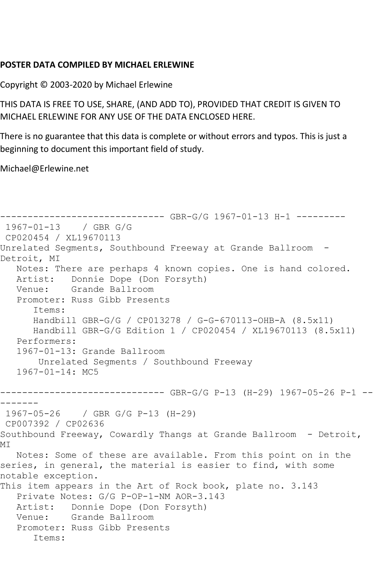## **POSTER DATA COMPILED BY MICHAEL ERLEWINE**

Copyright © 2003-2020 by Michael Erlewine

THIS DATA IS FREE TO USE, SHARE, (AND ADD TO), PROVIDED THAT CREDIT IS GIVEN TO MICHAEL ERLEWINE FOR ANY USE OF THE DATA ENCLOSED HERE.

There is no guarantee that this data is complete or without errors and typos. This is just a beginning to document this important field of study.

Michael@Erlewine.net

```
------------------------------ GBR-G/G 1967-01-13 H-1 ---------
1967-01-13 / GBR G/G
CP020454 / XL19670113
Unrelated Segments, Southbound Freeway at Grande Ballroom -
Detroit, MI
   Notes: There are perhaps 4 known copies. One is hand colored.
   Artist: Donnie Dope (Don Forsyth)
   Venue: Grande Ballroom
   Promoter: Russ Gibb Presents
       Items:
      Handbill GBR-G/G / CP013278 / G-G-670113-OHB-A (8.5x11)
      Handbill GBR-G/G Edition 1 / CP020454 / XL19670113 (8.5x11)
   Performers:
   1967-01-13: Grande Ballroom
        Unrelated Segments / Southbound Freeway
   1967-01-14: MC5
------------------------------ GBR-G/G P-13 (H-29) 1967-05-26 P-1 --
-------
1967-05-26 / GBR G/G P-13 (H-29)
CP007392 / CP02636
Southbound Freeway, Cowardly Thangs at Grande Ballroom - Detroit, 
MI
   Notes: Some of these are available. From this point on in the 
series, in general, the material is easier to find, with some 
notable exception.
This item appears in the Art of Rock book, plate no. 3.143
   Private Notes: G/G P-OP-1-NM AOR-3.143
  Artist: Donnie Dope (Don Forsyth)<br>Venue: Grande Ballroom
           Grande Ballroom
   Promoter: Russ Gibb Presents
       Items:
```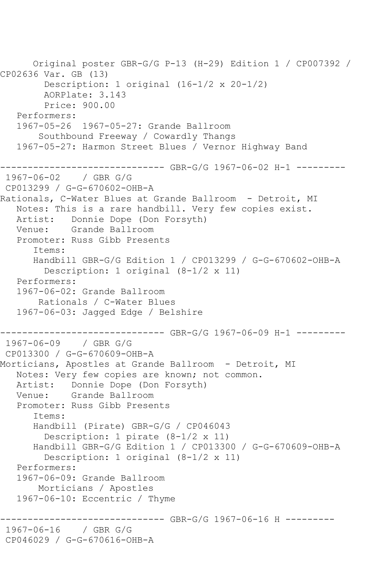```
 Original poster GBR-G/G P-13 (H-29) Edition 1 / CP007392 / 
CP02636 Var. GB (13)
        Description: 1 original (16-1/2 x 20-1/2)
         AORPlate: 3.143 
         Price: 900.00
   Performers:
   1967-05-26 1967-05-27: Grande Ballroom
        Southbound Freeway / Cowardly Thangs
   1967-05-27: Harmon Street Blues / Vernor Highway Band
------------------------------ GBR-G/G 1967-06-02 H-1 ---------
1967-06-02 / GBR G/G
CP013299 / G-G-670602-OHB-A
Rationals, C-Water Blues at Grande Ballroom - Detroit, MI
   Notes: This is a rare handbill. Very few copies exist.
   Artist: Donnie Dope (Don Forsyth)
   Venue: Grande Ballroom
   Promoter: Russ Gibb Presents
       Items:
      Handbill GBR-G/G Edition 1 / CP013299 / G-G-670602-OHB-A
         Description: 1 original (8-1/2 x 11)
   Performers:
   1967-06-02: Grande Ballroom
        Rationals / C-Water Blues
   1967-06-03: Jagged Edge / Belshire
------------------------------ GBR-G/G 1967-06-09 H-1 ---------
1967-06-09 / GBR G/G
CP013300 / G-G-670609-OHB-A
Morticians, Apostles at Grande Ballroom - Detroit, MI
   Notes: Very few copies are known; not common.
   Artist: Donnie Dope (Don Forsyth)
   Venue: Grande Ballroom
   Promoter: Russ Gibb Presents
       Items:
      Handbill (Pirate) GBR-G/G / CP046043
         Description: 1 pirate (8-1/2 x 11)
       Handbill GBR-G/G Edition 1 / CP013300 / G-G-670609-OHB-A
         Description: 1 original (8-1/2 x 11)
   Performers:
   1967-06-09: Grande Ballroom
        Morticians / Apostles
   1967-06-10: Eccentric / Thyme
                 ------------------------------ GBR-G/G 1967-06-16 H ---------
1967-06-16 / GBR G/G
CP046029 / G-G-670616-OHB-A
```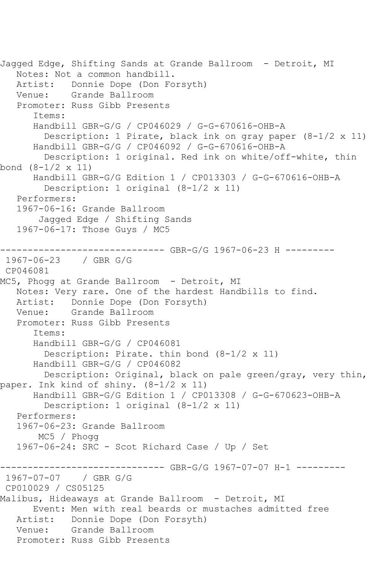Jagged Edge, Shifting Sands at Grande Ballroom - Detroit, MI Notes: Not a common handbill. Artist: Donnie Dope (Don Forsyth) Venue: Grande Ballroom Promoter: Russ Gibb Presents Items: Handbill GBR-G/G / CP046029 / G-G-670616-OHB-A Description: 1 Pirate, black ink on gray paper (8-1/2 x 11) Handbill GBR-G/G / CP046092 / G-G-670616-OHB-A Description: 1 original. Red ink on white/off-white, thin bond (8-1/2 x 11) Handbill GBR-G/G Edition 1 / CP013303 / G-G-670616-OHB-A Description: 1 original (8-1/2 x 11) Performers: 1967-06-16: Grande Ballroom Jagged Edge / Shifting Sands 1967-06-17: Those Guys / MC5 ------------------------------ GBR-G/G 1967-06-23 H --------- 1967-06-23 / GBR G/G CP046081 MC5, Phogg at Grande Ballroom - Detroit, MI Notes: Very rare. One of the hardest Handbills to find. Artist: Donnie Dope (Don Forsyth) Venue: Grande Ballroom Promoter: Russ Gibb Presents Items: Handbill GBR-G/G / CP046081 Description: Pirate. thin bond (8-1/2 x 11) Handbill GBR-G/G / CP046082 Description: Original, black on pale green/gray, very thin, paper. Ink kind of shiny. (8-1/2 x 11) Handbill GBR-G/G Edition 1 / CP013308 / G-G-670623-OHB-A Description: 1 original (8-1/2 x 11) Performers: 1967-06-23: Grande Ballroom MC5 / Phogg 1967-06-24: SRC - Scot Richard Case / Up / Set ------------------------------ GBR-G/G 1967-07-07 H-1 --------- 1967-07-07 / GBR G/G CP010029 / CS05125 Malibus, Hideaways at Grande Ballroom - Detroit, MI Event: Men with real beards or mustaches admitted free Artist: Donnie Dope (Don Forsyth) Venue: Grande Ballroom Promoter: Russ Gibb Presents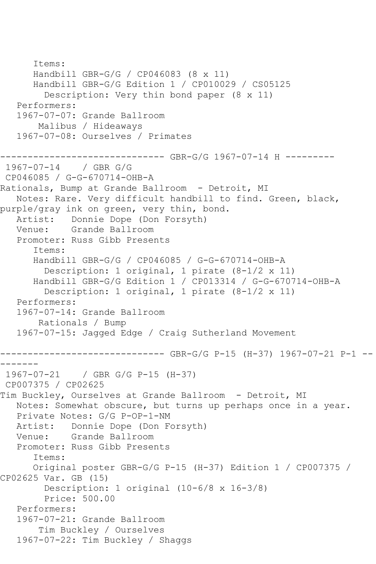```
 Items:
       Handbill GBR-G/G / CP046083 (8 x 11)
       Handbill GBR-G/G Edition 1 / CP010029 / CS05125
         Description: Very thin bond paper (8 x 11)
    Performers:
    1967-07-07: Grande Ballroom
        Malibus / Hideaways
    1967-07-08: Ourselves / Primates
                 ------------------------------ GBR-G/G 1967-07-14 H ---------
1967-07-14 / GBR G/G
CP046085 / G-G-670714-OHB-A
Rationals, Bump at Grande Ballroom - Detroit, MI
   Notes: Rare. Very difficult handbill to find. Green, black, 
purple/gray ink on green, very thin, bond.
    Artist: Donnie Dope (Don Forsyth)
   Venue: Grande Ballroom
    Promoter: Russ Gibb Presents
       Items:
       Handbill GBR-G/G / CP046085 / G-G-670714-OHB-A
         Description: 1 original, 1 pirate (8-1/2 x 11)
       Handbill GBR-G/G Edition 1 / CP013314 / G-G-670714-OHB-A
         Description: 1 original, 1 pirate (8-1/2 x 11)
    Performers:
    1967-07-14: Grande Ballroom
        Rationals / Bump
    1967-07-15: Jagged Edge / Craig Sutherland Movement
       ------------------------------ GBR-G/G P-15 (H-37) 1967-07-21 P-1 --
-------
1967-07-21 / GBR G/G P-15 (H-37)
CP007375 / CP02625
Tim Buckley, Ourselves at Grande Ballroom - Detroit, MI
   Notes: Somewhat obscure, but turns up perhaps once in a year.
    Private Notes: G/G P-OP-1-NM
   Artist: Donnie Dope (Don Forsyth)
   Venue: Grande Ballroom
    Promoter: Russ Gibb Presents
       Items:
       Original poster GBR-G/G P-15 (H-37) Edition 1 / CP007375 / 
CP02625 Var. GB (15)
         Description: 1 original (10-6/8 x 16-3/8)
         Price: 500.00
    Performers:
    1967-07-21: Grande Ballroom
        Tim Buckley / Ourselves
    1967-07-22: Tim Buckley / Shaggs
```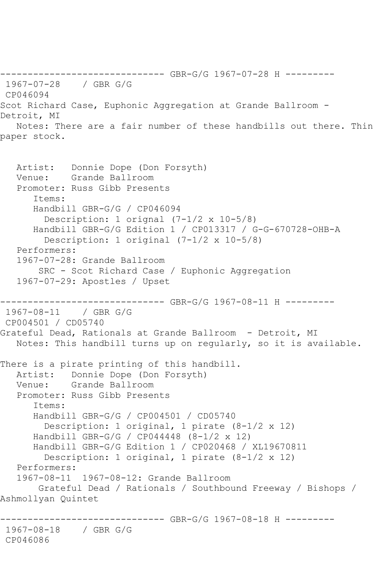------------------------------ GBR-G/G 1967-07-28 H --------- 1967-07-28 / GBR G/G CP046094 Scot Richard Case, Euphonic Aggregation at Grande Ballroom - Detroit, MI Notes: There are a fair number of these handbills out there. Thin paper stock.

```
 Artist: Donnie Dope (Don Forsyth)
   Venue: Grande Ballroom
   Promoter: Russ Gibb Presents
       Items:
      Handbill GBR-G/G / CP046094
         Description: 1 orignal (7-1/2 x 10-5/8)
       Handbill GBR-G/G Edition 1 / CP013317 / G-G-670728-OHB-A
         Description: 1 original (7-1/2 x 10-5/8)
   Performers:
   1967-07-28: Grande Ballroom
        SRC - Scot Richard Case / Euphonic Aggregation
   1967-07-29: Apostles / Upset
------------------------------ GBR-G/G 1967-08-11 H ---------
1967-08-11 / GBR G/G
CP004501 / CD05740
Grateful Dead, Rationals at Grande Ballroom - Detroit, MI
   Notes: This handbill turns up on regularly, so it is available.
There is a pirate printing of this handbill.
   Artist: Donnie Dope (Don Forsyth)
   Venue: Grande Ballroom
   Promoter: Russ Gibb Presents
       Items:
      Handbill GBR-G/G / CP004501 / CD05740
         Description: 1 original, 1 pirate (8-1/2 x 12)
      Handbill GBR-G/G / CP044448 (8-1/2 x 12)
      Handbill GBR-G/G Edition 1 / CP020468 / XL19670811
         Description: 1 original, 1 pirate (8-1/2 x 12)
   Performers:
   1967-08-11 1967-08-12: Grande Ballroom
        Grateful Dead / Rationals / Southbound Freeway / Bishops / 
Ashmollyan Quintet
         ------------------------------ GBR-G/G 1967-08-18 H ---------
1967-08-18 / GBR G/G
CP046086
```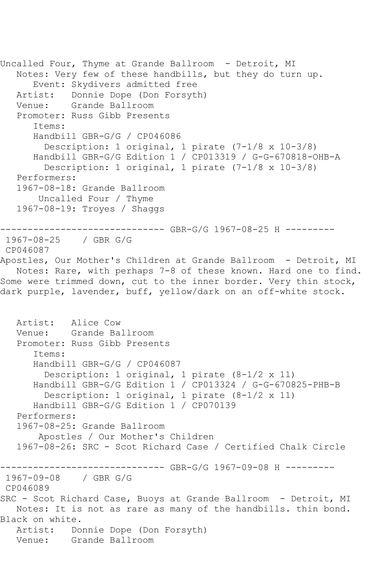```
Uncalled Four, Thyme at Grande Ballroom - Detroit, MI
   Notes: Very few of these handbills, but they do turn up.
       Event: Skydivers admitted free
  Artist: Donnie Dope (Don Forsyth)<br>Venue: Grande Ballroom
           Grande Ballroom
   Promoter: Russ Gibb Presents
       Items:
       Handbill GBR-G/G / CP046086
         Description: 1 original, 1 pirate (7-1/8 x 10-3/8)
      Handbill GBR-G/G Edition 1 / CP013319 / G-G-670818-OHB-A
         Description: 1 original, 1 pirate (7-1/8 x 10-3/8)
   Performers:
   1967-08-18: Grande Ballroom
        Uncalled Four / Thyme
   1967-08-19: Troyes / Shaggs
------------------------------ GBR-G/G 1967-08-25 H ---------
1967-08-25 / GBR G/G
CP046087
Apostles, Our Mother's Children at Grande Ballroom - Detroit, MI
   Notes: Rare, with perhaps 7-8 of these known. Hard one to find. 
Some were trimmed down, cut to the inner border. Very thin stock, 
dark purple, lavender, buff, yellow/dark on an off-white stock.
   Artist: Alice Cow
   Venue: Grande Ballroom
   Promoter: Russ Gibb Presents
       Items:
       Handbill GBR-G/G / CP046087
         Description: 1 original, 1 pirate (8-1/2 x 11)
       Handbill GBR-G/G Edition 1 / CP013324 / G-G-670825-PHB-B
         Description: 1 original, 1 pirate (8-1/2 x 11)
       Handbill GBR-G/G Edition 1 / CP070139
   Performers:
   1967-08-25: Grande Ballroom
        Apostles / Our Mother's Children
   1967-08-26: SRC - Scot Richard Case / Certified Chalk Circle
------------------------------ GBR-G/G 1967-09-08 H ---------
1967-09-08 / GBR G/G
CP046089
SRC - Scot Richard Case, Buoys at Grande Ballroom - Detroit, MI
   Notes: It is not as rare as many of the handbills. thin bond. 
Black on white.
   Artist: Donnie Dope (Don Forsyth)
   Venue: Grande Ballroom
```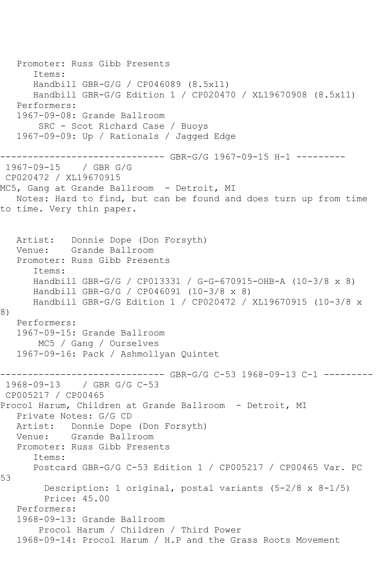```
 Promoter: Russ Gibb Presents
       Items:
      Handbill GBR-G/G / CP046089 (8.5x11)
      Handbill GBR-G/G Edition 1 / CP020470 / XL19670908 (8.5x11)
   Performers:
   1967-09-08: Grande Ballroom
        SRC - Scot Richard Case / Buoys
   1967-09-09: Up / Rationals / Jagged Edge
      ------------------------------ GBR-G/G 1967-09-15 H-1 ---------
1967-09-15 / GBR G/G
CP020472 / XL19670915
MC5, Gang at Grande Ballroom - Detroit, MI
   Notes: Hard to find, but can be found and does turn up from time 
to time. Very thin paper.
   Artist: Donnie Dope (Don Forsyth)
   Venue: Grande Ballroom
   Promoter: Russ Gibb Presents
       Items:
      Handbill GBR-G/G / CP013331 / G-G-670915-OHB-A (10-3/8 x 8)
      Handbill GBR-G/G / CP046091 (10-3/8 x 8)
      Handbill GBR-G/G Edition 1 / CP020472 / XL19670915 (10-3/8 x 
8)
   Performers:
   1967-09-15: Grande Ballroom
        MC5 / Gang / Ourselves
   1967-09-16: Pack / Ashmollyan Quintet
                       -------- GBR-G/G C-53 1968-09-13 C-1 --------
1968-09-13 / GBR G/G C-53
CP005217 / CP00465
Procol Harum, Children at Grande Ballroom - Detroit, MI
   Private Notes: G/G CD
   Artist: Donnie Dope (Don Forsyth)
   Venue: Grande Ballroom
   Promoter: Russ Gibb Presents
       Items:
       Postcard GBR-G/G C-53 Edition 1 / CP005217 / CP00465 Var. PC 
53
         Description: 1 original, postal variants (5-2/8 x 8-1/5)
         Price: 45.00
   Performers:
   1968-09-13: Grande Ballroom
        Procol Harum / Children / Third Power
   1968-09-14: Procol Harum / H.P and the Grass Roots Movement
```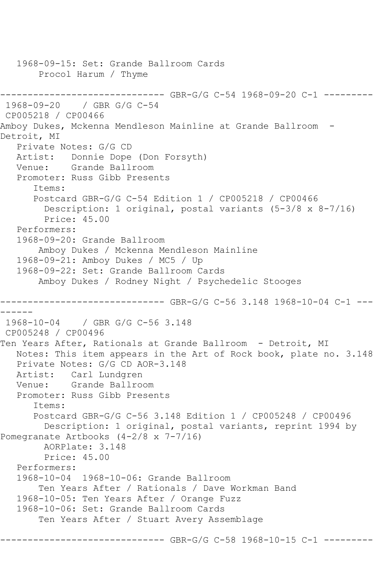```
 1968-09-15: Set: Grande Ballroom Cards
        Procol Harum / Thyme
------------------------------ GBR-G/G C-54 1968-09-20 C-1 ---------
1968-09-20 / GBR G/G C-54
CP005218 / CP00466
Amboy Dukes, Mckenna Mendleson Mainline at Grande Ballroom -
Detroit, MI
   Private Notes: G/G CD
   Artist: Donnie Dope (Don Forsyth)
   Venue: Grande Ballroom
   Promoter: Russ Gibb Presents
       Items:
       Postcard GBR-G/G C-54 Edition 1 / CP005218 / CP00466
         Description: 1 original, postal variants (5-3/8 x 8-7/16)
         Price: 45.00
   Performers:
   1968-09-20: Grande Ballroom
        Amboy Dukes / Mckenna Mendleson Mainline
   1968-09-21: Amboy Dukes / MC5 / Up
   1968-09-22: Set: Grande Ballroom Cards
        Amboy Dukes / Rodney Night / Psychedelic Stooges
------------------------------ GBR-G/G C-56 3.148 1968-10-04 C-1 ---
------
1968-10-04 / GBR G/G C-56 3.148
CP005248 / CP00496
Ten Years After, Rationals at Grande Ballroom - Detroit, MI
   Notes: This item appears in the Art of Rock book, plate no. 3.148
   Private Notes: G/G CD AOR-3.148
  Artist: Carl Lundgren<br>Venue: Grande Ballro
          Grande Ballroom
   Promoter: Russ Gibb Presents
       Items:
       Postcard GBR-G/G C-56 3.148 Edition 1 / CP005248 / CP00496
         Description: 1 original, postal variants, reprint 1994 by 
Pomegranate Artbooks (4-2/8 x 7-7/16)
        AORPlate: 3.148 
        Price: 45.00
   Performers:
   1968-10-04 1968-10-06: Grande Ballroom
        Ten Years After / Rationals / Dave Workman Band
   1968-10-05: Ten Years After / Orange Fuzz
   1968-10-06: Set: Grande Ballroom Cards
        Ten Years After / Stuart Avery Assemblage
```
------- GBR-G/G C-58 1968-10-15 C-1 ---------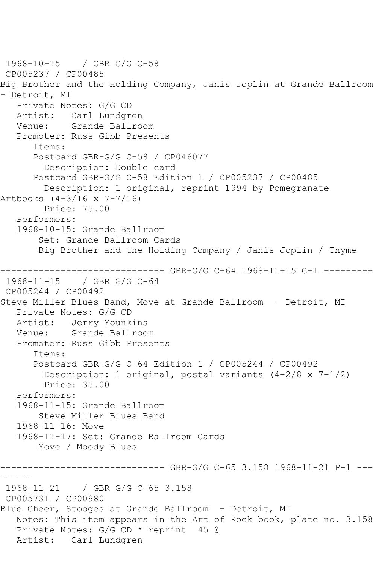```
1968-10-15 / GBR G/G C-58
CP005237 / CP00485
Big Brother and the Holding Company, Janis Joplin at Grande Ballroom 
- Detroit, MI
   Private Notes: G/G CD
   Artist: Carl Lundgren
   Venue: Grande Ballroom
   Promoter: Russ Gibb Presents
       Items:
      Postcard GBR-G/G C-58 / CP046077
         Description: Double card
      Postcard GBR-G/G C-58 Edition 1 / CP005237 / CP00485
        Description: 1 original, reprint 1994 by Pomegranate 
Artbooks (4-3/16 x 7-7/16)
        Price: 75.00
   Performers:
   1968-10-15: Grande Ballroom
        Set: Grande Ballroom Cards
       Big Brother and the Holding Company / Janis Joplin / Thyme
------------------------------ GBR-G/G C-64 1968-11-15 C-1 ---------
1968-11-15 / GBR G/G C-64
CP005244 / CP00492
Steve Miller Blues Band, Move at Grande Ballroom - Detroit, MI
   Private Notes: G/G CD
   Artist: Jerry Younkins
   Venue: Grande Ballroom
   Promoter: Russ Gibb Presents
      Items:
      Postcard GBR-G/G C-64 Edition 1 / CP005244 / CP00492
         Description: 1 original, postal variants (4-2/8 x 7-1/2)
         Price: 35.00
   Performers:
   1968-11-15: Grande Ballroom
        Steve Miller Blues Band
   1968-11-16: Move
   1968-11-17: Set: Grande Ballroom Cards
       Move / Moody Blues
------------------------------ GBR-G/G C-65 3.158 1968-11-21 P-1 ---
------
1968-11-21 / GBR G/G C-65 3.158
CP005731 / CP00980
Blue Cheer, Stooges at Grande Ballroom - Detroit, MI
   Notes: This item appears in the Art of Rock book, plate no. 3.158
   Private Notes: G/G CD * reprint 45 @
   Artist: Carl Lundgren
```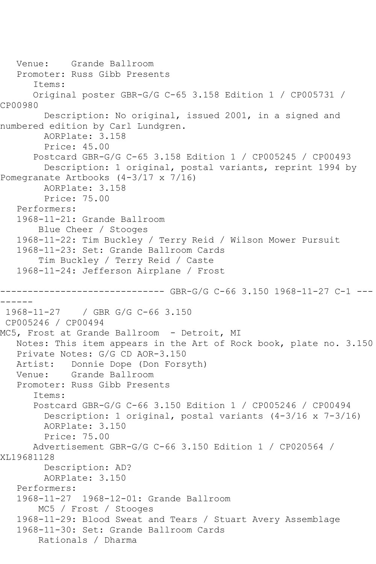```
 Venue: Grande Ballroom
   Promoter: Russ Gibb Presents
       Items:
       Original poster GBR-G/G C-65 3.158 Edition 1 / CP005731 / 
CP00980
         Description: No original, issued 2001, in a signed and 
numbered edition by Carl Lundgren.
         AORPlate: 3.158 
         Price: 45.00
       Postcard GBR-G/G C-65 3.158 Edition 1 / CP005245 / CP00493
         Description: 1 original, postal variants, reprint 1994 by 
Pomegranate Artbooks (4-3/17 x 7/16)
         AORPlate: 3.158 
         Price: 75.00
    Performers:
    1968-11-21: Grande Ballroom
        Blue Cheer / Stooges
   1968-11-22: Tim Buckley / Terry Reid / Wilson Mower Pursuit
    1968-11-23: Set: Grande Ballroom Cards
        Tim Buckley / Terry Reid / Caste
    1968-11-24: Jefferson Airplane / Frost
          ------------------------------ GBR-G/G C-66 3.150 1968-11-27 C-1 ---
------
1968-11-27 / GBR G/G C-66 3.150
CP005246 / CP00494
MC5, Frost at Grande Ballroom - Detroit, MI
   Notes: This item appears in the Art of Rock book, plate no. 3.150
  Private Notes: G/G CD AOR-3.150<br>Artist: Donnie Dope (Don Fors
            Donnie Dope (Don Forsyth)
   Venue: Grande Ballroom
    Promoter: Russ Gibb Presents
       Items:
       Postcard GBR-G/G C-66 3.150 Edition 1 / CP005246 / CP00494
         Description: 1 original, postal variants (4-3/16 x 7-3/16)
         AORPlate: 3.150 
         Price: 75.00
       Advertisement GBR-G/G C-66 3.150 Edition 1 / CP020564 / 
XL19681128
         Description: AD?
         AORPlate: 3.150 
    Performers:
    1968-11-27 1968-12-01: Grande Ballroom
        MC5 / Frost / Stooges
    1968-11-29: Blood Sweat and Tears / Stuart Avery Assemblage
    1968-11-30: Set: Grande Ballroom Cards
        Rationals / Dharma
```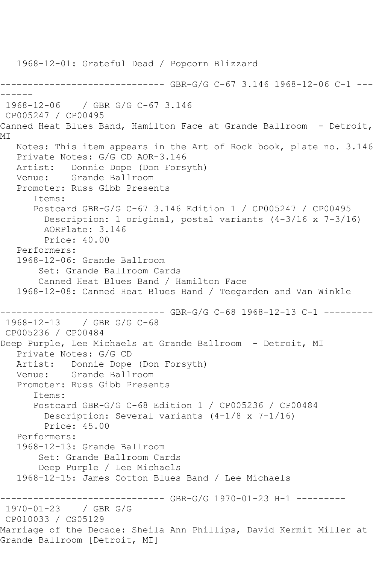1968-12-01: Grateful Dead / Popcorn Blizzard ------------------------------ GBR-G/G C-67 3.146 1968-12-06 C-1 --- ------ 1968-12-06 / GBR G/G C-67 3.146 CP005247 / CP00495 Canned Heat Blues Band, Hamilton Face at Grande Ballroom - Detroit, MI Notes: This item appears in the Art of Rock book, plate no. 3.146 Private Notes: G/G CD AOR-3.146 Artist: Donnie Dope (Don Forsyth) Venue: Grande Ballroom Promoter: Russ Gibb Presents Items: Postcard GBR-G/G C-67 3.146 Edition 1 / CP005247 / CP00495 Description: 1 original, postal variants (4-3/16 x 7-3/16) AORPlate: 3.146 Price: 40.00 Performers: 1968-12-06: Grande Ballroom Set: Grande Ballroom Cards Canned Heat Blues Band / Hamilton Face 1968-12-08: Canned Heat Blues Band / Teegarden and Van Winkle ------------------------------ GBR-G/G C-68 1968-12-13 C-1 --------- 1968-12-13 / GBR G/G C-68 CP005236 / CP00484 Deep Purple, Lee Michaels at Grande Ballroom - Detroit, MI Private Notes: G/G CD Artist: Donnie Dope (Don Forsyth) Venue: Grande Ballroom Promoter: Russ Gibb Presents Items: Postcard GBR-G/G C-68 Edition 1 / CP005236 / CP00484 Description: Several variants (4-1/8 x 7-1/16) Price: 45.00 Performers: 1968-12-13: Grande Ballroom Set: Grande Ballroom Cards Deep Purple / Lee Michaels 1968-12-15: James Cotton Blues Band / Lee Michaels ------------------------------ GBR-G/G 1970-01-23 H-1 --------- 1970-01-23 / GBR G/G CP010033 / CS05129 Marriage of the Decade: Sheila Ann Phillips, David Kermit Miller at Grande Ballroom [Detroit, MI]